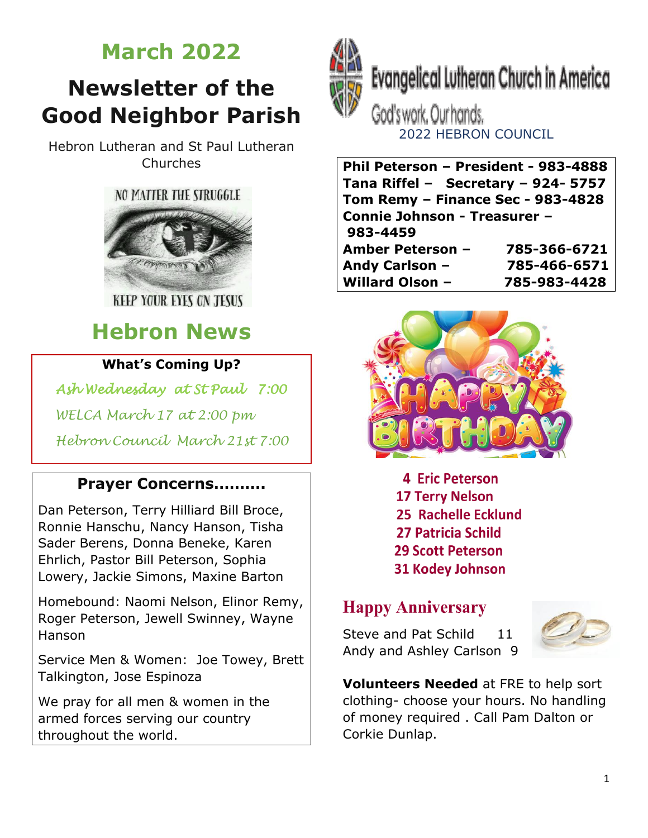# **March 2022**

# **Newsletter of the Good Neighbor Parish**

Hebron Lutheran and St Paul Lutheran Churches



**KEEP YOUR EYES ON JESUS** 

# **Hebron News**

### **What's Coming Up?**

*Ash Wednesday at St Paul 7:00* 

 *WELCA March 17 at 2:00 pm*

 *Hebron Council March 21st 7:00*

### **Prayer Concerns……….**

Dan Peterson, Terry Hilliard Bill Broce, Ronnie Hanschu, Nancy Hanson, Tisha Sader Berens, Donna Beneke, Karen Ehrlich, Pastor Bill Peterson, Sophia Lowery, Jackie Simons, Maxine Barton

Homebound: Naomi Nelson, Elinor Remy, Roger Peterson, Jewell Swinney, Wayne Hanson

Service Men & Women: Joe Towey, Brett Talkington, Jose Espinoza

We pray for all men & women in the armed forces serving our country throughout the world.



**Evangelical Lutheran Church in America** 

God's work. Our hands. 2022 HEBRON COUNCIL

**Phil Peterson – President - 983-4888 Tana Riffel – Secretary – 924- 5757 Tom Remy – Finance Sec - 983-4828 Connie Johnson - Treasurer – 983-4459 Amber Peterson – 785-366-6721 Andy Carlson – 785-466-6571 Willard Olson – 785-983-4428**



**4 Eric Peterson 17 Terry Nelson** 25 Rachelle Ecklund 27 Patricia Schild **29 Scott Peterson 31 Kodey Johnson** 

### **Happy Anniversary**

Steve and Pat Schild 11 Andy and Ashley Carlson 9



**Volunteers Needed** at FRE to help sort clothing- choose your hours. No handling of money required . Call Pam Dalton or Corkie Dunlap.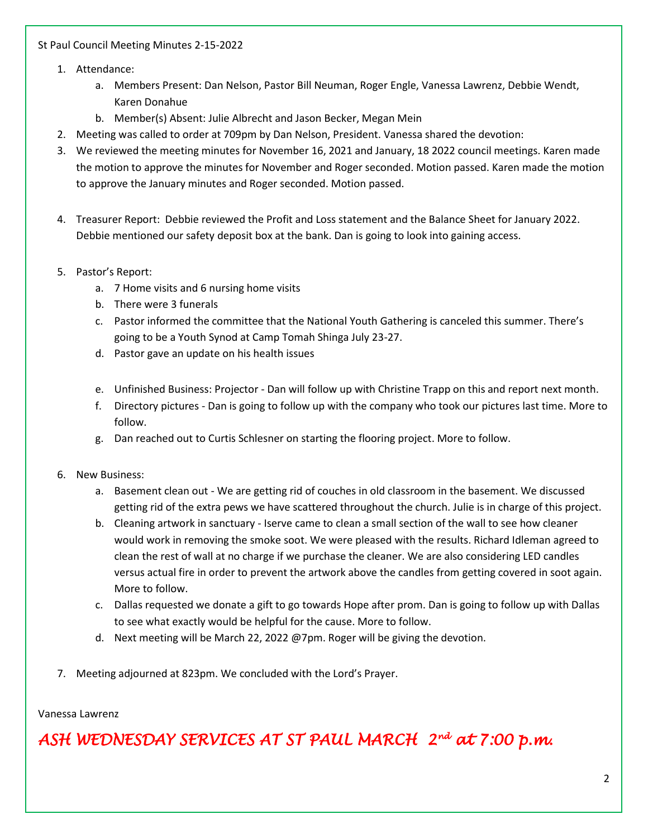#### St Paul Council Meeting Minutes 2-15-2022

- 1. Attendance:
	- a. Members Present: Dan Nelson, Pastor Bill Neuman, Roger Engle, Vanessa Lawrenz, Debbie Wendt, Karen Donahue
	- b. Member(s) Absent: Julie Albrecht and Jason Becker, Megan Mein
- 2. Meeting was called to order at 709pm by Dan Nelson, President. Vanessa shared the devotion:
- 3. We reviewed the meeting minutes for November 16, 2021 and January, 18 2022 council meetings. Karen made the motion to approve the minutes for November and Roger seconded. Motion passed. Karen made the motion to approve the January minutes and Roger seconded. Motion passed.
- 4. Treasurer Report: Debbie reviewed the Profit and Loss statement and the Balance Sheet for January 2022. Debbie mentioned our safety deposit box at the bank. Dan is going to look into gaining access.
- 5. Pastor's Report:
	- a. 7 Home visits and 6 nursing home visits
	- b. There were 3 funerals
	- c. Pastor informed the committee that the National Youth Gathering is canceled this summer. There's going to be a Youth Synod at Camp Tomah Shinga July 23-27.
	- d. Pastor gave an update on his health issues
	- e. Unfinished Business: Projector Dan will follow up with Christine Trapp on this and report next month.
	- f. Directory pictures Dan is going to follow up with the company who took our pictures last time. More to follow.
	- g. Dan reached out to Curtis Schlesner on starting the flooring project. More to follow.
- 6. New Business:
	- a. Basement clean out We are getting rid of couches in old classroom in the basement. We discussed getting rid of the extra pews we have scattered throughout the church. Julie is in charge of this project.
	- b. Cleaning artwork in sanctuary Iserve came to clean a small section of the wall to see how cleaner would work in removing the smoke soot. We were pleased with the results. Richard Idleman agreed to clean the rest of wall at no charge if we purchase the cleaner. We are also considering LED candles versus actual fire in order to prevent the artwork above the candles from getting covered in soot again. More to follow.
	- c. Dallas requested we donate a gift to go towards Hope after prom. Dan is going to follow up with Dallas to see what exactly would be helpful for the cause. More to follow.
	- d. Next meeting will be March 22, 2022 @7pm. Roger will be giving the devotion.
- 7. Meeting adjourned at 823pm. We concluded with the Lord's Prayer.

#### Vanessa Lawrenz

*ASH WEDNESDAY SERVICES AT ST PAUL MARCH 2nd at 7:00 p.m.*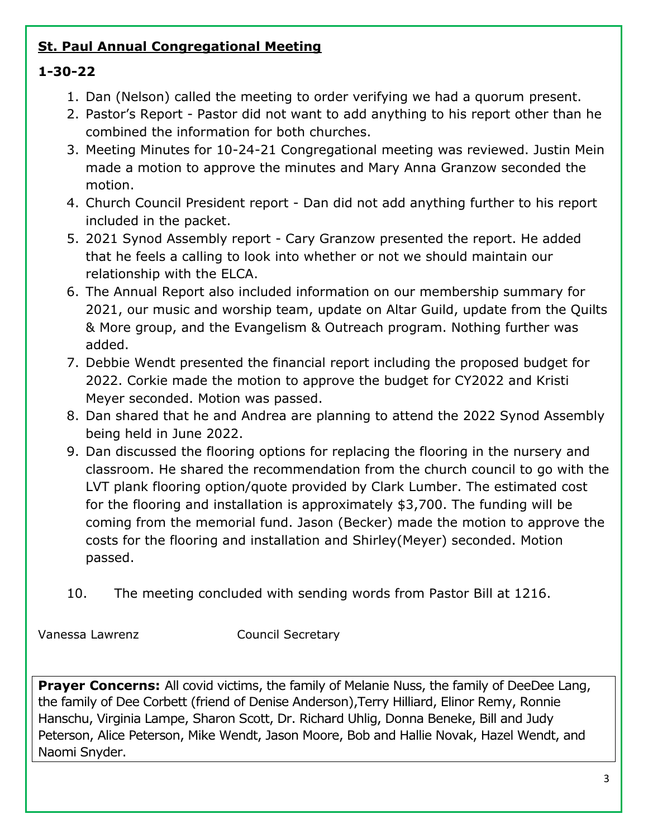### **St. Paul Annual Congregational Meeting**

### **1-30-22**

- 1. Dan (Nelson) called the meeting to order verifying we had a quorum present.
- 2. Pastor's Report Pastor did not want to add anything to his report other than he combined the information for both churches.
- 3. Meeting Minutes for 10-24-21 Congregational meeting was reviewed. Justin Mein made a motion to approve the minutes and Mary Anna Granzow seconded the motion.
- 4. Church Council President report Dan did not add anything further to his report included in the packet.
- 5. 2021 Synod Assembly report Cary Granzow presented the report. He added that he feels a calling to look into whether or not we should maintain our relationship with the ELCA.
- 6. The Annual Report also included information on our membership summary for 2021, our music and worship team, update on Altar Guild, update from the Quilts & More group, and the Evangelism & Outreach program. Nothing further was added.
- 7. Debbie Wendt presented the financial report including the proposed budget for 2022. Corkie made the motion to approve the budget for CY2022 and Kristi Meyer seconded. Motion was passed.
- 8. Dan shared that he and Andrea are planning to attend the 2022 Synod Assembly being held in June 2022.
- 9. Dan discussed the flooring options for replacing the flooring in the nursery and classroom. He shared the recommendation from the church council to go with the LVT plank flooring option/quote provided by Clark Lumber. The estimated cost for the flooring and installation is approximately \$3,700. The funding will be coming from the memorial fund. Jason (Becker) made the motion to approve the costs for the flooring and installation and Shirley(Meyer) seconded. Motion passed.
- 10. The meeting concluded with sending words from Pastor Bill at 1216.

Vanessa Lawrenz Council Secretary

**Prayer Concerns:** All covid victims, the family of Melanie Nuss, the family of DeeDee Lang, the family of Dee Corbett (friend of Denise Anderson),Terry Hilliard, Elinor Remy, Ronnie Hanschu, Virginia Lampe, Sharon Scott, Dr. Richard Uhlig, Donna Beneke, Bill and Judy Peterson, Alice Peterson, Mike Wendt, Jason Moore, Bob and Hallie Novak, Hazel Wendt, and Naomi Snyder.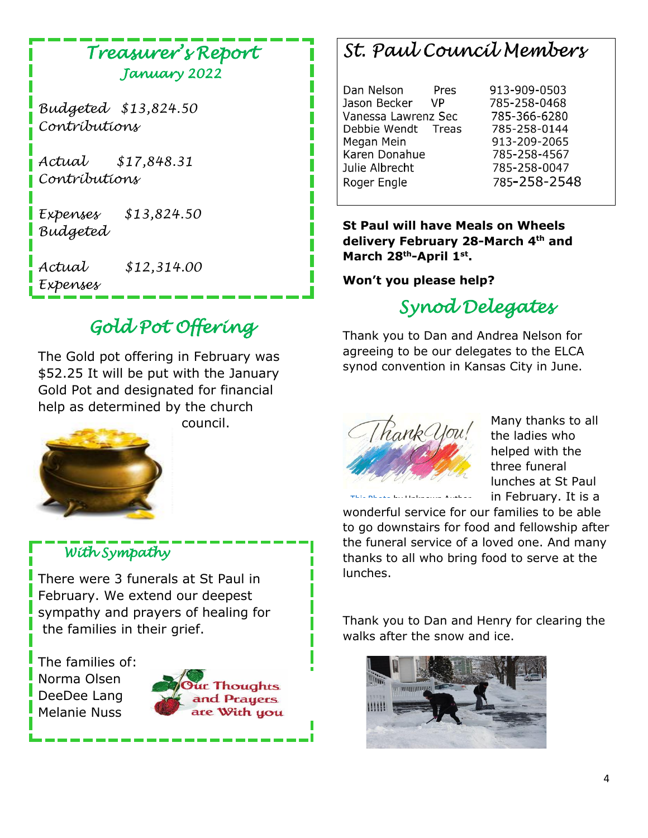### *Treasurer's Report January 2022*

*Budgeted \$13,824.50 Contributions* 

*Actual \$17,848.31 Contributions*

*Expenses \$13,824.50 Budgeted*

*Actual \$12,314.00 Expenses* 

# *Gold Pot Offering*

The Gold pot offering in February was \$52.25 It will be put with the January Gold Pot and designated for financial help as determined by the church



council.

### *With Sympathy*

There were 3 funerals at St Paul in February. We extend our deepest sympathy and prayers of healing for the families in their grief.

The families of: Norma Olsen DeeDee Lang Melanie Nuss



# St. Paul Council Members

Dan Nelson Pres Jason Becker **VP** Vanessa Lawrenz Sec Debbie Wendt Treas Megan Mein Karen Donahue Julie Albrecht Roger Engle

913-909-0503 785-258-0468 785-366-6280 785-258-0144 913-209-2065 785-258-4567 785-258-0047 785-258-2548

**St Paul will have Meals on Wheels delivery February 28-March 4th and March 28th-April 1st .** 

#### **Won't you please help?**

# *Synod Delegates*

Thank you to Dan and Andrea Nelson for agreeing to be our delegates to the ELCA synod convention in Kansas City in June.



[This Photo](http://edm310.blogspot.com/2014/11/another-thank-you-i-just-want-to-thank.html) by Unknown Author

Many thanks to all the ladies who helped with the three funeral lunches at St Paul in February. It is a

wonderful s[ervice for](https://creativecommons.org/licenses/by-nc-sa/3.0/) our families to be able to go downstairs for food and fellowship after the funeral service of a loved one. And many thanks to all who bring food to serve at the lunches.

Thank you to Dan and Henry for clearing the walks after the snow and ice.

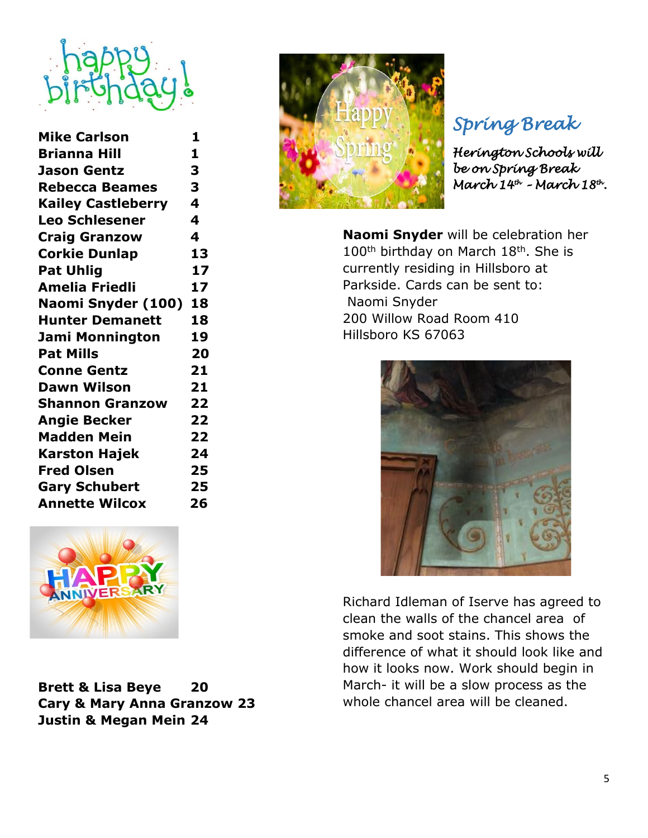

| <b>Mike Carlson</b>       | 1  |
|---------------------------|----|
| <b>Brianna Hill</b>       | 1  |
| <b>Jason Gentz</b>        | 3  |
| <b>Rebecca Beames</b>     | 3  |
| <b>Kailey Castleberry</b> | 4  |
| <b>Leo Schlesener</b>     | 4  |
| <b>Craig Granzow</b>      | 4  |
| <b>Corkie Dunlap</b>      | 13 |
| <b>Pat Uhlig</b>          | 17 |
| <b>Amelia Friedli</b>     | 17 |
| Naomi Snyder (100)        | 18 |
| <b>Hunter Demanett</b>    | 18 |
| <b>Jami Monnington</b>    | 19 |
| <b>Pat Mills</b>          | 20 |
| <b>Conne Gentz</b>        | 21 |
| <b>Dawn Wilson</b>        | 21 |
| <b>Shannon Granzow</b>    | 22 |
| <b>Angie Becker</b>       | 22 |
| <b>Madden Mein</b>        | 22 |
| <b>Karston Hajek</b>      | 24 |
| <b>Fred Olsen</b>         | 25 |
| <b>Gary Schubert</b>      | 25 |
| <b>Annette Wilcox</b>     | 26 |
|                           |    |



**Brett & Lisa Beye 20 Cary & Mary Anna Granzow 23 Justin & Megan Mein 24**



# *Spring Break*

*Herington Schools will be on Spring Break March 14 th – March 18 th .* 

**Naomi Snyder** will be celebration her 100<sup>th</sup> birthday on March 18<sup>th</sup>. She is currently residing in Hillsboro at Parkside. Cards can be sent to: Naomi Snyder 200 Willow Road Room 410 Hillsboro KS 67063



Richard Idleman of Iserve has agreed to clean the walls of the chancel area of smoke and soot stains. This shows the difference of what it should look like and how it looks now. Work should begin in March- it will be a slow process as the whole chancel area will be cleaned.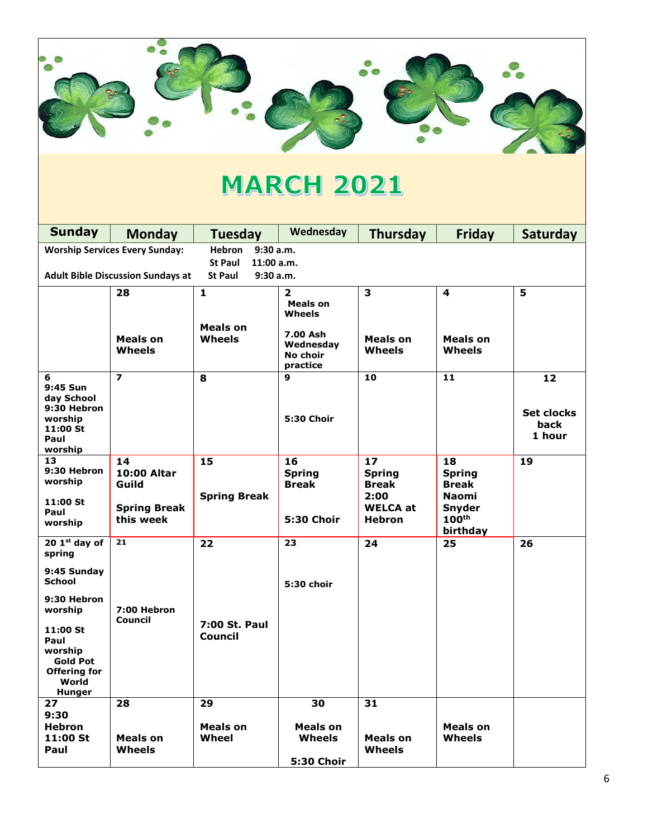

# **MARCH 2021**

| <b>Sunday</b>                                                                                                                                                                         | <b>Monday</b>                                                  | <b>Tuesday</b>                                             | Wednesday                                                                           | <b>Thursday</b>                                                                 | <b>Friday</b>                                                                           | <b>Saturday</b>                           |
|---------------------------------------------------------------------------------------------------------------------------------------------------------------------------------------|----------------------------------------------------------------|------------------------------------------------------------|-------------------------------------------------------------------------------------|---------------------------------------------------------------------------------|-----------------------------------------------------------------------------------------|-------------------------------------------|
|                                                                                                                                                                                       | <b>Worship Services Every Sunday:</b>                          | <b>Hebron</b><br>9:30 a.m.<br><b>St Paul</b><br>11:00 a.m. |                                                                                     |                                                                                 |                                                                                         |                                           |
|                                                                                                                                                                                       | <b>Adult Bible Discussion Sundays at</b>                       | <b>St Paul</b><br>9:30a.m.                                 |                                                                                     |                                                                                 |                                                                                         |                                           |
|                                                                                                                                                                                       | 28<br>Meals on<br>Wheels                                       | $\mathbf{1}$<br>Meals on<br><b>Wheels</b>                  | $\mathbf{z}$<br>Meals on<br>Wheels<br>7.00 Ash<br>Wednesday<br>No choir<br>practice | 3<br>Meals on<br>Wheels                                                         | 4<br>Meals on<br>Wheels                                                                 | 5                                         |
| 6<br>9:45 Sun<br>day School<br>9:30 Hebron<br>worship<br>11:00 St<br>Paul<br>worship                                                                                                  | $\overline{\phantom{a}}$                                       | 8                                                          | 9<br><b>5:30 Choir</b>                                                              | 10                                                                              | 11                                                                                      | 12<br><b>Set clocks</b><br>back<br>1 hour |
| 13<br>9:30 Hebron<br>worship<br>11:00 St<br>Paul<br>worship                                                                                                                           | 14<br>10:00 Altar<br>Guild<br><b>Spring Break</b><br>this week | 15<br><b>Spring Break</b>                                  | 16<br><b>Spring</b><br><b>Break</b><br><b>5:30 Choir</b>                            | 17<br><b>Spring</b><br><b>Break</b><br>2:00<br><b>WELCA at</b><br><b>Hebron</b> | 18<br><b>Spring</b><br><b>Break</b><br>Naomi<br>Snyder<br>100 <sup>th</sup><br>birthday | 19                                        |
| $201st$ day of<br>spring<br>9:45 Sunday<br><b>School</b><br>9:30 Hebron<br>worship<br>11:00 St<br>Paul<br>worship<br><b>Gold Pot</b><br><b>Offering for</b><br>World<br><b>Hunger</b> | 21<br>7:00 Hebron<br>Council                                   | 22<br>7:00 St. Paul<br>Council                             | 23<br>5:30 choir                                                                    | 24                                                                              | 25                                                                                      | 26                                        |
| 27<br>9:30<br><b>Hebron</b><br>11:00 St<br>Paul                                                                                                                                       | 28<br>Meals on<br>Wheels                                       | 29<br><b>Meals on</b><br><b>Wheel</b>                      | 30<br>Meals on<br><b>Wheels</b><br><b>5:30 Choir</b>                                | 31<br>Meals on<br>Wheels                                                        | Meals on<br>Wheels                                                                      |                                           |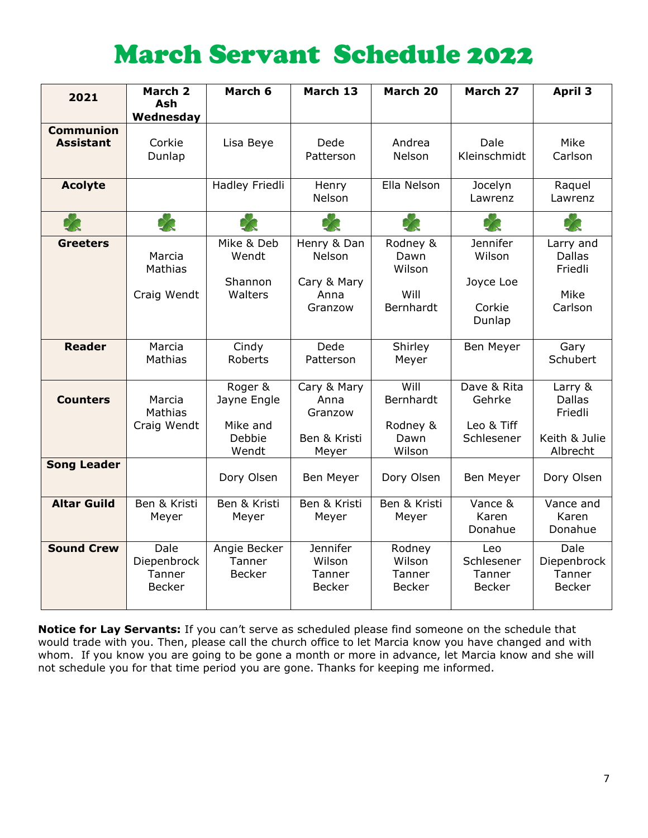# March Servant Schedule 2022

| Wednesday<br><b>Communion</b><br>Dale<br><b>Assistant</b><br>Corkie<br>Dede<br>Andrea<br>Mike<br>Lisa Beye<br>Kleinschmidt<br>Dunlap<br>Patterson<br><b>Nelson</b><br>Carlson<br>Ella Nelson<br>Hadley Friedli<br><b>Acolyte</b><br>Jocelyn<br>Henry<br>Raquel<br>Nelson<br>Lawrenz<br>Lawrenz<br>$\approx$<br>Mike & Deb<br>Henry & Dan<br>Rodney &<br>Jennifer<br><b>Greeters</b><br>Larry and<br>Marcia<br>Wendt<br>Nelson<br>Wilson<br><b>Dallas</b><br>Dawn<br>Mathias<br>Wilson<br>Friedli<br>Shannon<br>Cary & Mary<br>Joyce Loe<br>Craig Wendt<br>Walters<br>Will<br>Mike<br>Anna<br>Bernhardt<br>Corkie<br>Carlson<br>Granzow<br>Dunlap<br><b>Reader</b><br>Marcia<br>Dede<br>Shirley<br>Cindy<br>Ben Meyer<br>Gary<br><b>Mathias</b><br>Schubert<br><b>Roberts</b><br>Patterson<br>Meyer<br>Will<br>Dave & Rita<br>Roger &<br>Cary & Mary<br>Larry &<br>Bernhardt<br>Gehrke<br><b>Dallas</b><br><b>Counters</b><br>Marcia<br>Jayne Engle<br>Anna<br>Mathias<br>Granzow<br>Friedli<br>Mike and<br>Rodney &<br>Leo & Tiff<br>Craig Wendt<br>Debbie<br>Ben & Kristi<br>Schlesener<br>Keith & Julie<br>Dawn<br>Wendt<br>Wilson<br>Albrecht<br>Meyer<br><b>Song Leader</b><br>Dory Olsen<br>Dory Olsen<br>Dory Olsen<br>Ben Meyer<br>Ben Meyer<br><b>Altar Guild</b><br>Ben & Kristi<br>Ben & Kristi<br>Ben & Kristi<br>Ben & Kristi<br>Vance &<br>Vance and<br>Karen<br>Karen<br>Meyer<br>Meyer<br>Meyer<br>Meyer<br>Donahue<br>Donahue<br><b>Sound Crew</b><br>Dale<br><b>Jennifer</b><br>Angie Becker<br>Dale<br>Rodney<br>Leo<br>Wilson<br>Schlesener<br>Diepenbrock<br>Tanner<br>Wilson<br>Diepenbrock<br>Tanner<br><b>Becker</b><br>Tanner<br>Tanner<br>Tanner<br>Tanner | 2021 | March 2       | March 6 | March 13      | March 20      | March 27      | <b>April 3</b> |
|-------------------------------------------------------------------------------------------------------------------------------------------------------------------------------------------------------------------------------------------------------------------------------------------------------------------------------------------------------------------------------------------------------------------------------------------------------------------------------------------------------------------------------------------------------------------------------------------------------------------------------------------------------------------------------------------------------------------------------------------------------------------------------------------------------------------------------------------------------------------------------------------------------------------------------------------------------------------------------------------------------------------------------------------------------------------------------------------------------------------------------------------------------------------------------------------------------------------------------------------------------------------------------------------------------------------------------------------------------------------------------------------------------------------------------------------------------------------------------------------------------------------------------------------------------------------------------------------------------------------------------------------------------------------------------------|------|---------------|---------|---------------|---------------|---------------|----------------|
|                                                                                                                                                                                                                                                                                                                                                                                                                                                                                                                                                                                                                                                                                                                                                                                                                                                                                                                                                                                                                                                                                                                                                                                                                                                                                                                                                                                                                                                                                                                                                                                                                                                                                     |      | <b>Ash</b>    |         |               |               |               |                |
|                                                                                                                                                                                                                                                                                                                                                                                                                                                                                                                                                                                                                                                                                                                                                                                                                                                                                                                                                                                                                                                                                                                                                                                                                                                                                                                                                                                                                                                                                                                                                                                                                                                                                     |      |               |         |               |               |               |                |
|                                                                                                                                                                                                                                                                                                                                                                                                                                                                                                                                                                                                                                                                                                                                                                                                                                                                                                                                                                                                                                                                                                                                                                                                                                                                                                                                                                                                                                                                                                                                                                                                                                                                                     |      |               |         |               |               |               |                |
|                                                                                                                                                                                                                                                                                                                                                                                                                                                                                                                                                                                                                                                                                                                                                                                                                                                                                                                                                                                                                                                                                                                                                                                                                                                                                                                                                                                                                                                                                                                                                                                                                                                                                     |      |               |         |               |               |               |                |
|                                                                                                                                                                                                                                                                                                                                                                                                                                                                                                                                                                                                                                                                                                                                                                                                                                                                                                                                                                                                                                                                                                                                                                                                                                                                                                                                                                                                                                                                                                                                                                                                                                                                                     |      |               |         |               |               |               |                |
|                                                                                                                                                                                                                                                                                                                                                                                                                                                                                                                                                                                                                                                                                                                                                                                                                                                                                                                                                                                                                                                                                                                                                                                                                                                                                                                                                                                                                                                                                                                                                                                                                                                                                     |      |               |         |               |               |               |                |
|                                                                                                                                                                                                                                                                                                                                                                                                                                                                                                                                                                                                                                                                                                                                                                                                                                                                                                                                                                                                                                                                                                                                                                                                                                                                                                                                                                                                                                                                                                                                                                                                                                                                                     |      |               |         |               |               |               |                |
|                                                                                                                                                                                                                                                                                                                                                                                                                                                                                                                                                                                                                                                                                                                                                                                                                                                                                                                                                                                                                                                                                                                                                                                                                                                                                                                                                                                                                                                                                                                                                                                                                                                                                     |      |               |         |               |               |               |                |
|                                                                                                                                                                                                                                                                                                                                                                                                                                                                                                                                                                                                                                                                                                                                                                                                                                                                                                                                                                                                                                                                                                                                                                                                                                                                                                                                                                                                                                                                                                                                                                                                                                                                                     |      |               |         |               |               |               |                |
|                                                                                                                                                                                                                                                                                                                                                                                                                                                                                                                                                                                                                                                                                                                                                                                                                                                                                                                                                                                                                                                                                                                                                                                                                                                                                                                                                                                                                                                                                                                                                                                                                                                                                     |      |               |         |               |               |               |                |
|                                                                                                                                                                                                                                                                                                                                                                                                                                                                                                                                                                                                                                                                                                                                                                                                                                                                                                                                                                                                                                                                                                                                                                                                                                                                                                                                                                                                                                                                                                                                                                                                                                                                                     |      |               |         |               |               |               |                |
|                                                                                                                                                                                                                                                                                                                                                                                                                                                                                                                                                                                                                                                                                                                                                                                                                                                                                                                                                                                                                                                                                                                                                                                                                                                                                                                                                                                                                                                                                                                                                                                                                                                                                     |      |               |         |               |               |               |                |
|                                                                                                                                                                                                                                                                                                                                                                                                                                                                                                                                                                                                                                                                                                                                                                                                                                                                                                                                                                                                                                                                                                                                                                                                                                                                                                                                                                                                                                                                                                                                                                                                                                                                                     |      |               |         |               |               |               |                |
|                                                                                                                                                                                                                                                                                                                                                                                                                                                                                                                                                                                                                                                                                                                                                                                                                                                                                                                                                                                                                                                                                                                                                                                                                                                                                                                                                                                                                                                                                                                                                                                                                                                                                     |      |               |         |               |               |               |                |
|                                                                                                                                                                                                                                                                                                                                                                                                                                                                                                                                                                                                                                                                                                                                                                                                                                                                                                                                                                                                                                                                                                                                                                                                                                                                                                                                                                                                                                                                                                                                                                                                                                                                                     |      |               |         |               |               |               |                |
|                                                                                                                                                                                                                                                                                                                                                                                                                                                                                                                                                                                                                                                                                                                                                                                                                                                                                                                                                                                                                                                                                                                                                                                                                                                                                                                                                                                                                                                                                                                                                                                                                                                                                     |      |               |         |               |               |               |                |
|                                                                                                                                                                                                                                                                                                                                                                                                                                                                                                                                                                                                                                                                                                                                                                                                                                                                                                                                                                                                                                                                                                                                                                                                                                                                                                                                                                                                                                                                                                                                                                                                                                                                                     |      |               |         |               |               |               |                |
|                                                                                                                                                                                                                                                                                                                                                                                                                                                                                                                                                                                                                                                                                                                                                                                                                                                                                                                                                                                                                                                                                                                                                                                                                                                                                                                                                                                                                                                                                                                                                                                                                                                                                     |      |               |         |               |               |               |                |
|                                                                                                                                                                                                                                                                                                                                                                                                                                                                                                                                                                                                                                                                                                                                                                                                                                                                                                                                                                                                                                                                                                                                                                                                                                                                                                                                                                                                                                                                                                                                                                                                                                                                                     |      |               |         |               |               |               |                |
|                                                                                                                                                                                                                                                                                                                                                                                                                                                                                                                                                                                                                                                                                                                                                                                                                                                                                                                                                                                                                                                                                                                                                                                                                                                                                                                                                                                                                                                                                                                                                                                                                                                                                     |      |               |         |               |               |               |                |
|                                                                                                                                                                                                                                                                                                                                                                                                                                                                                                                                                                                                                                                                                                                                                                                                                                                                                                                                                                                                                                                                                                                                                                                                                                                                                                                                                                                                                                                                                                                                                                                                                                                                                     |      |               |         |               |               |               |                |
|                                                                                                                                                                                                                                                                                                                                                                                                                                                                                                                                                                                                                                                                                                                                                                                                                                                                                                                                                                                                                                                                                                                                                                                                                                                                                                                                                                                                                                                                                                                                                                                                                                                                                     |      |               |         |               |               |               |                |
|                                                                                                                                                                                                                                                                                                                                                                                                                                                                                                                                                                                                                                                                                                                                                                                                                                                                                                                                                                                                                                                                                                                                                                                                                                                                                                                                                                                                                                                                                                                                                                                                                                                                                     |      |               |         |               |               |               |                |
|                                                                                                                                                                                                                                                                                                                                                                                                                                                                                                                                                                                                                                                                                                                                                                                                                                                                                                                                                                                                                                                                                                                                                                                                                                                                                                                                                                                                                                                                                                                                                                                                                                                                                     |      |               |         |               |               |               |                |
|                                                                                                                                                                                                                                                                                                                                                                                                                                                                                                                                                                                                                                                                                                                                                                                                                                                                                                                                                                                                                                                                                                                                                                                                                                                                                                                                                                                                                                                                                                                                                                                                                                                                                     |      |               |         |               |               |               |                |
|                                                                                                                                                                                                                                                                                                                                                                                                                                                                                                                                                                                                                                                                                                                                                                                                                                                                                                                                                                                                                                                                                                                                                                                                                                                                                                                                                                                                                                                                                                                                                                                                                                                                                     |      |               |         |               |               |               |                |
|                                                                                                                                                                                                                                                                                                                                                                                                                                                                                                                                                                                                                                                                                                                                                                                                                                                                                                                                                                                                                                                                                                                                                                                                                                                                                                                                                                                                                                                                                                                                                                                                                                                                                     |      |               |         |               |               |               |                |
|                                                                                                                                                                                                                                                                                                                                                                                                                                                                                                                                                                                                                                                                                                                                                                                                                                                                                                                                                                                                                                                                                                                                                                                                                                                                                                                                                                                                                                                                                                                                                                                                                                                                                     |      |               |         |               |               |               |                |
|                                                                                                                                                                                                                                                                                                                                                                                                                                                                                                                                                                                                                                                                                                                                                                                                                                                                                                                                                                                                                                                                                                                                                                                                                                                                                                                                                                                                                                                                                                                                                                                                                                                                                     |      |               |         |               |               |               |                |
|                                                                                                                                                                                                                                                                                                                                                                                                                                                                                                                                                                                                                                                                                                                                                                                                                                                                                                                                                                                                                                                                                                                                                                                                                                                                                                                                                                                                                                                                                                                                                                                                                                                                                     |      |               |         |               |               |               |                |
|                                                                                                                                                                                                                                                                                                                                                                                                                                                                                                                                                                                                                                                                                                                                                                                                                                                                                                                                                                                                                                                                                                                                                                                                                                                                                                                                                                                                                                                                                                                                                                                                                                                                                     |      |               |         |               |               |               |                |
|                                                                                                                                                                                                                                                                                                                                                                                                                                                                                                                                                                                                                                                                                                                                                                                                                                                                                                                                                                                                                                                                                                                                                                                                                                                                                                                                                                                                                                                                                                                                                                                                                                                                                     |      | <b>Becker</b> |         | <b>Becker</b> | <b>Becker</b> | <b>Becker</b> | <b>Becker</b>  |
|                                                                                                                                                                                                                                                                                                                                                                                                                                                                                                                                                                                                                                                                                                                                                                                                                                                                                                                                                                                                                                                                                                                                                                                                                                                                                                                                                                                                                                                                                                                                                                                                                                                                                     |      |               |         |               |               |               |                |

**Notice for Lay Servants:** If you can't serve as scheduled please find someone on the schedule that would trade with you. Then, please call the church office to let Marcia know you have changed and with whom. If you know you are going to be gone a month or more in advance, let Marcia know and she will not schedule you for that time period you are gone. Thanks for keeping me informed.